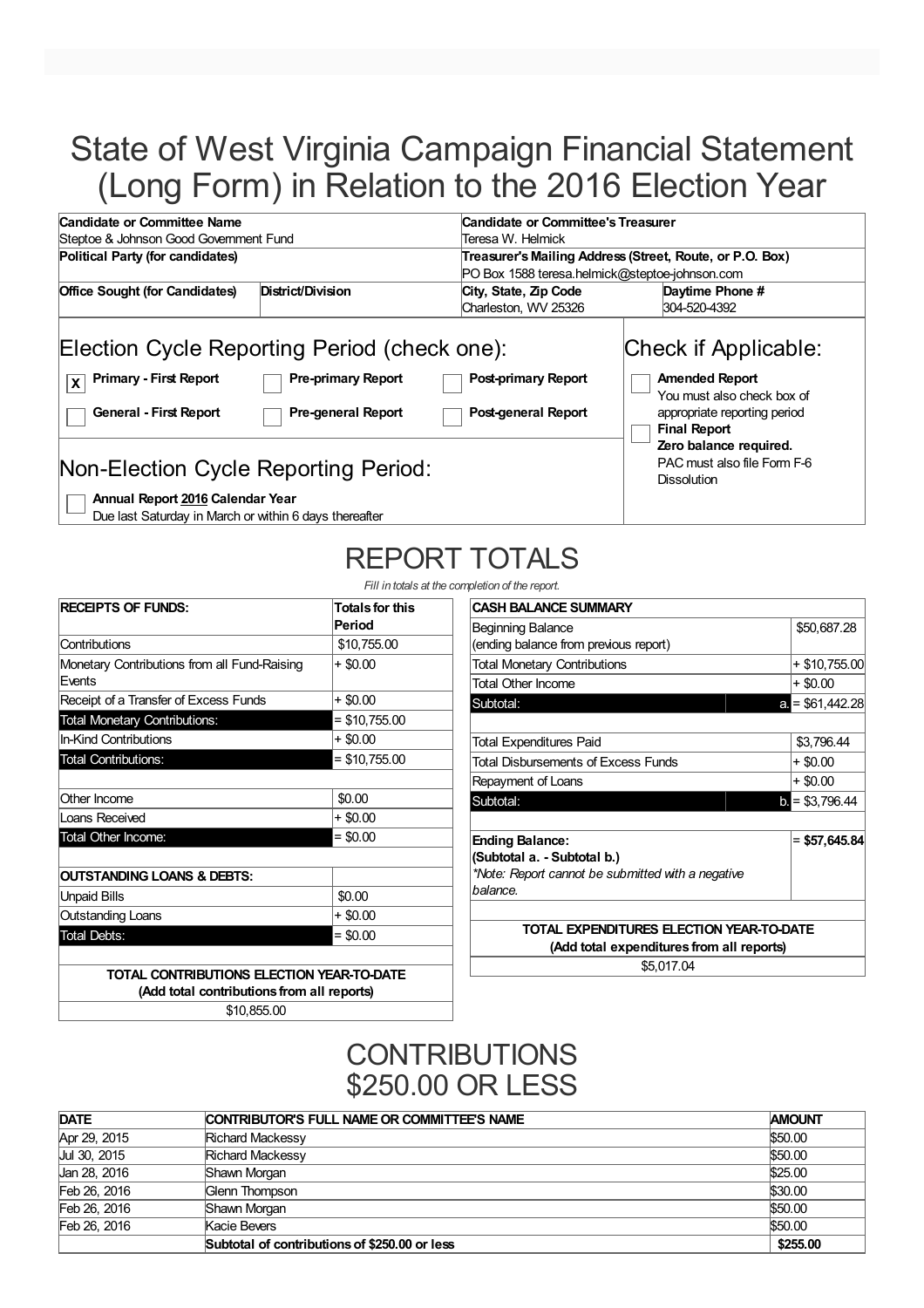# State of West Virginia Campaign Financial Statement (Long Form) in Relation to the 2016 Election Year

| Candidate or Committee Name                                                                                                                                                                                                                                 | Candidate or Committee's Treasurer                       |                                                                                                                                                                                                                   |  |
|-------------------------------------------------------------------------------------------------------------------------------------------------------------------------------------------------------------------------------------------------------------|----------------------------------------------------------|-------------------------------------------------------------------------------------------------------------------------------------------------------------------------------------------------------------------|--|
| Steptoe & Johnson Good Government Fund                                                                                                                                                                                                                      | Teresa W. Helmick                                        |                                                                                                                                                                                                                   |  |
| Political Party (for candidates)                                                                                                                                                                                                                            | Treasurer's Mailing Address (Street, Route, or P.O. Box) |                                                                                                                                                                                                                   |  |
|                                                                                                                                                                                                                                                             | PO Box 1588 teresa.helmick@steptoe-johnson.com           |                                                                                                                                                                                                                   |  |
| District/Division<br><b>Office Sought (for Candidates)</b>                                                                                                                                                                                                  | City, State, Zip Code                                    | Daytime Phone #                                                                                                                                                                                                   |  |
|                                                                                                                                                                                                                                                             | Charleston, WV 25326                                     | 304-520-4392                                                                                                                                                                                                      |  |
| Election Cycle Reporting Period (check one):<br><b>Primary - First Report</b><br><b>Pre-primary Report</b><br>l x<br><b>General - First Report</b><br><b>Pre-general Report</b><br>Non-Election Cycle Reporting Period:<br>Annual Report 2016 Calendar Year | <b>Post-primary Report</b><br>Post-general Report        | Check if Applicable:<br><b>Amended Report</b><br>You must also check box of<br>appropriate reporting period<br><b>Final Report</b><br>Zero balance required.<br>PAC must also file Form F-6<br><b>Dissolution</b> |  |

Due last Saturday in March or within 6 days thereafter

# REPORT TOTALS

*Fill in totals at the completion of the report.*

| <b>RECEIPTS OF FUNDS:</b>                              | <b>Totals for this</b><br>Period |
|--------------------------------------------------------|----------------------------------|
| Contributions                                          | \$10,755.00                      |
| Monetary Contributions from all Fund-Raising<br>Events | + \$0.00                         |
| Receipt of a Transfer of Excess Funds                  | + \$0.00                         |
| <b>Total Monetary Contributions:</b>                   | $=$ \$10,755.00                  |
| <b>In-Kind Contributions</b>                           | + \$0.00                         |
| <b>Total Contributions:</b>                            | $=$ \$10,755.00                  |
| Other Income                                           | \$0.00                           |
| Loans Received                                         | + \$0.00                         |
| Total Other Income:                                    | $= $0.00$                        |
| OUTSTANDING LOANS & DEBTS:                             |                                  |
| <b>Unpaid Bills</b>                                    | \$0.00                           |
| <b>Outstanding Loans</b>                               | $+$ \$0.00                       |
| <b>Total Debts:</b>                                    | $= $0.00$                        |

**(Add total contributions from all reports)** \$10,855.00

| <b>CASH BALANCE SUMMARY</b>                       |                        |
|---------------------------------------------------|------------------------|
| Beginning Balance                                 | \$50,687.28            |
| (ending balance from previous report)             |                        |
| <b>Total Monetary Contributions</b>               | $+$ \$10,755.00        |
| <b>Total Other Income</b>                         | $+$ \$0.00             |
| Subtotal:                                         | $a = $61,442.28$       |
|                                                   |                        |
| Total Expenditures Paid                           | \$3,796.44             |
| Total Disbursements of Excess Funds               | $+$ \$0.00             |
| Repayment of Loans                                | + \$0.00               |
| Subtotal:                                         | $\bullet$ = \$3,796.44 |
|                                                   |                        |
| <b>Ending Balance:</b>                            | $= $57,645.84$         |
| (Subtotal a. - Subtotal b.)                       |                        |
| *Note: Report cannot be submitted with a negative |                        |
| balance.                                          |                        |
|                                                   |                        |
| TOTAL EXPENDITURES ELECTION YEAR-TO-DATE          |                        |
| (Add total expenditures from all reports)         |                        |
| \$5,017.04                                        |                        |
|                                                   |                        |

### **CONTRIBUTIONS** \$250.00 OR LESS

| <b>DATE</b>  | CONTRIBUTOR'S FULL NAME OR COMMITTEE'S NAME   |          |
|--------------|-----------------------------------------------|----------|
| Apr 29, 2015 | <b>Richard Mackessy</b>                       | \$50.00  |
| Jul 30, 2015 | <b>Richard Mackessy</b>                       | \$50.00  |
| Jan 28, 2016 | Shawn Morgan                                  | \$25.00  |
| Feb 26, 2016 | Glenn Thompson                                | \$30.00  |
| Feb 26, 2016 | Shawn Morgan                                  | \$50.00  |
| Feb 26, 2016 | Kacie Bevers                                  | \$50.00  |
|              | Subtotal of contributions of \$250,00 or less | \$255.00 |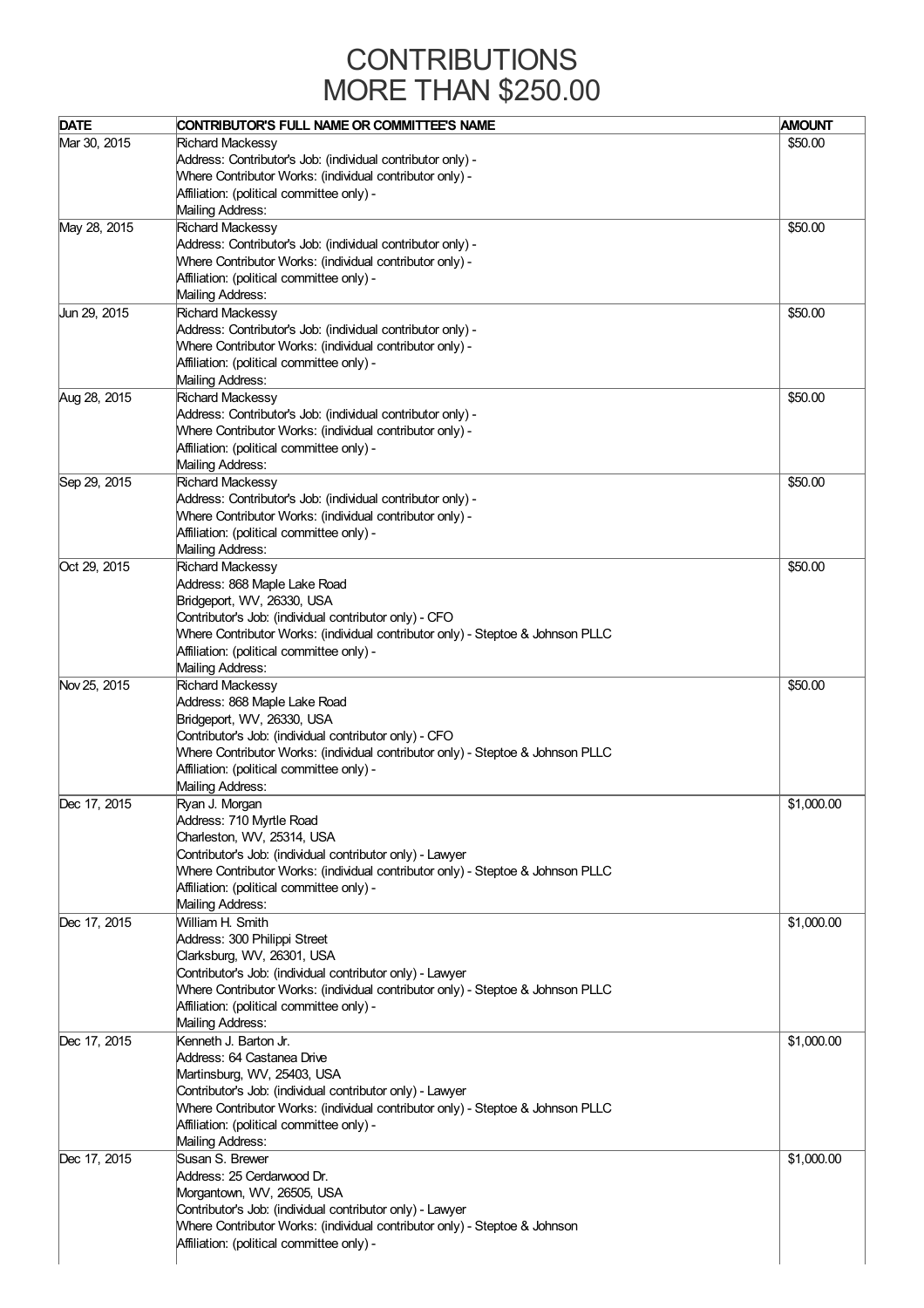### **CONTRIBUTIONS** MORE THAN \$250.00

| <b>DATE</b>  | CONTRIBUTOR'S FULL NAME OR COMMITTEE'S NAME                                     | <b>AMOUNT</b> |
|--------------|---------------------------------------------------------------------------------|---------------|
|              |                                                                                 |               |
| Mar 30, 2015 | <b>Richard Mackessy</b>                                                         | \$50.00       |
|              | Address: Contributor's Job: (individual contributor only) -                     |               |
|              | Where Contributor Works: (individual contributor only) -                        |               |
|              | Affiliation: (political committee only) -                                       |               |
|              | Mailing Address:                                                                |               |
| May 28, 2015 | <b>Richard Mackessy</b>                                                         | \$50.00       |
|              | Address: Contributor's Job: (individual contributor only) -                     |               |
|              | Where Contributor Works: (individual contributor only) -                        |               |
|              | Affiliation: (political committee only) -                                       |               |
|              | Mailing Address:                                                                |               |
| Jun 29, 2015 | <b>Richard Mackessy</b>                                                         | \$50.00       |
|              |                                                                                 |               |
|              | Address: Contributor's Job: (individual contributor only) -                     |               |
|              | Where Contributor Works: (individual contributor only) -                        |               |
|              | Affiliation: (political committee only) -                                       |               |
|              | Mailing Address:                                                                |               |
| Aug 28, 2015 | <b>Richard Mackessy</b>                                                         | \$50.00       |
|              | Address: Contributor's Job: (individual contributor only) -                     |               |
|              | Where Contributor Works: (individual contributor only) -                        |               |
|              | Affiliation: (political committee only) -                                       |               |
|              | Mailing Address:                                                                |               |
| Sep 29, 2015 | <b>Richard Mackessy</b>                                                         | \$50.00       |
|              | Address: Contributor's Job: (individual contributor only) -                     |               |
|              |                                                                                 |               |
|              | Where Contributor Works: (individual contributor only) -                        |               |
|              | Affiliation: (political committee only) -                                       |               |
|              | Mailing Address:                                                                |               |
| Oct 29, 2015 | <b>Richard Mackessy</b>                                                         | \$50.00       |
|              | Address: 868 Maple Lake Road                                                    |               |
|              | Bridgeport, WV, 26330, USA                                                      |               |
|              | Contributor's Job: (individual contributor only) - CFO                          |               |
|              | Where Contributor Works: (individual contributor only) - Steptoe & Johnson PLLC |               |
|              | Affiliation: (political committee only) -                                       |               |
|              | Mailing Address:                                                                |               |
| Nov 25, 2015 | <b>Richard Mackessy</b>                                                         | \$50.00       |
|              | Address: 868 Maple Lake Road                                                    |               |
|              |                                                                                 |               |
|              | Bridgeport, WV, 26330, USA                                                      |               |
|              | Contributor's Job: (individual contributor only) - CFO                          |               |
|              | Where Contributor Works: (individual contributor only) - Steptoe & Johnson PLLC |               |
|              | Affiliation: (political committee only) -                                       |               |
|              | Mailing Address:                                                                |               |
| Dec 17, 2015 | Ryan J. Morgan                                                                  | \$1,000.00    |
|              | Address: 710 Myrtle Road                                                        |               |
|              | Charleston, WV, 25314, USA                                                      |               |
|              | Contributor's Job: (individual contributor only) - Lawyer                       |               |
|              | Where Contributor Works: (individual contributor only) - Steptoe & Johnson PLLC |               |
|              | Affiliation: (political committee only) -                                       |               |
|              | Mailing Address:                                                                |               |
| Dec 17, 2015 | William H. Smith                                                                | \$1,000.00    |
|              |                                                                                 |               |
|              | Address: 300 Philippi Street                                                    |               |
|              | Clarksburg, WV, 26301, USA                                                      |               |
|              | Contributor's Job: (individual contributor only) - Lawyer                       |               |
|              | Where Contributor Works: (individual contributor only) - Steptoe & Johnson PLLC |               |
|              | Affiliation: (political committee only) -                                       |               |
|              | Mailing Address:                                                                |               |
| Dec 17, 2015 | Kenneth J. Barton Jr.                                                           | \$1,000.00    |
|              | Address: 64 Castanea Drive                                                      |               |
|              | Martinsburg, WV, 25403, USA                                                     |               |
|              | Contributor's Job: (individual contributor only) - Lawyer                       |               |
|              | Where Contributor Works: (individual contributor only) - Steptoe & Johnson PLLC |               |
|              | Affiliation: (political committee only) -                                       |               |
|              | Mailing Address:                                                                |               |
|              |                                                                                 |               |
| Dec 17, 2015 | Susan S. Brewer                                                                 | \$1,000.00    |
|              | Address: 25 Cerdarwood Dr.                                                      |               |
|              | Morgantown, WV, 26505, USA                                                      |               |
|              | Contributor's Job: (individual contributor only) - Lawyer                       |               |
|              | Where Contributor Works: (individual contributor only) - Steptoe & Johnson      |               |
|              | Affiliation: (political committee only) -                                       |               |
|              |                                                                                 |               |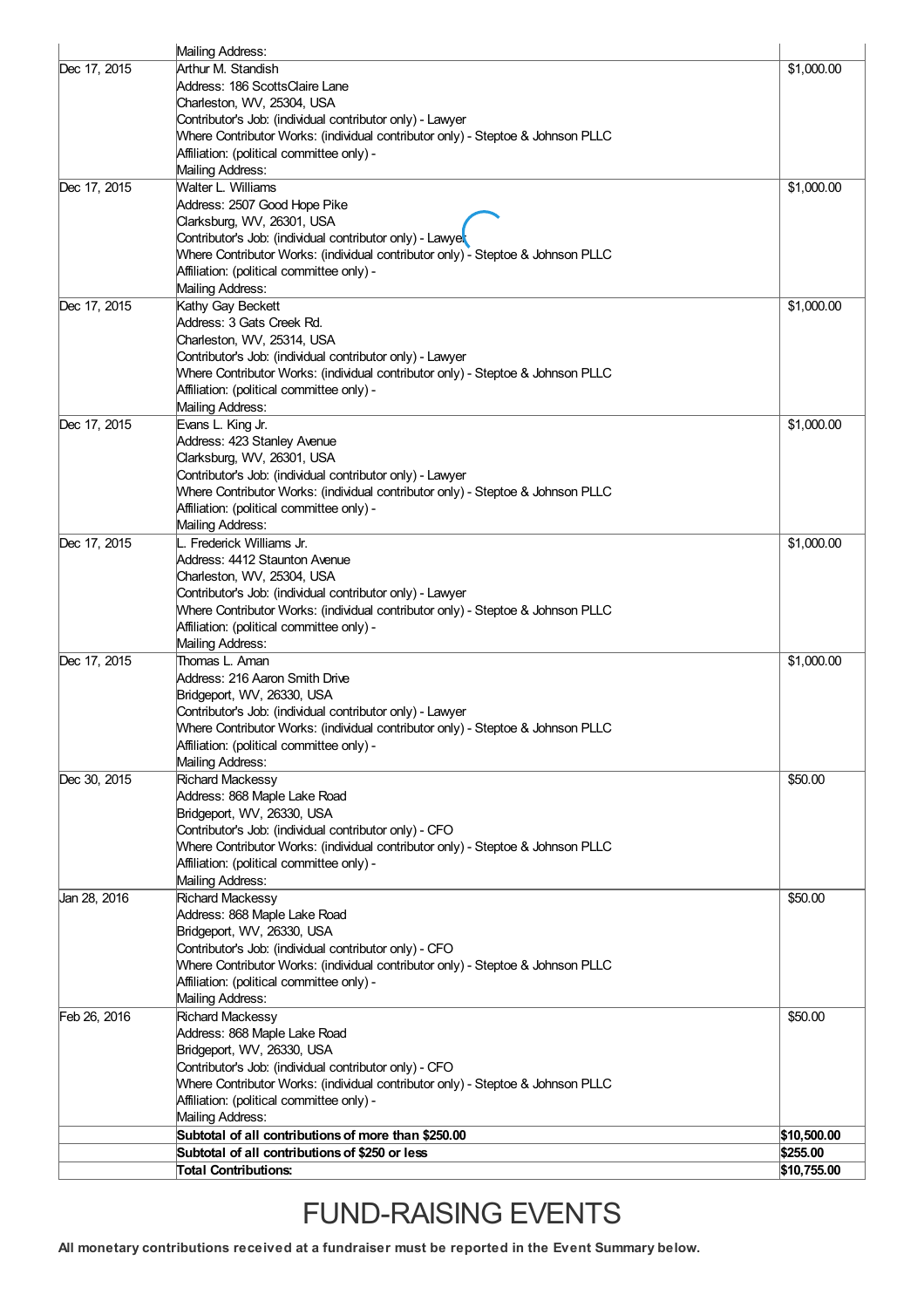|              | Mailing Address:                                                                                                                             |             |
|--------------|----------------------------------------------------------------------------------------------------------------------------------------------|-------------|
| Dec 17, 2015 | Arthur M. Standish                                                                                                                           | \$1,000.00  |
|              | Address: 186 ScottsClaire Lane                                                                                                               |             |
|              | Charleston, WV, 25304, USA                                                                                                                   |             |
|              | Contributor's Job: (individual contributor only) - Lawyer                                                                                    |             |
|              | Where Contributor Works: (individual contributor only) - Steptoe & Johnson PLLC                                                              |             |
|              | Affiliation: (political committee only) -<br>Mailing Address:                                                                                |             |
| Dec 17, 2015 | Walter L. Williams                                                                                                                           | \$1,000.00  |
|              | Address: 2507 Good Hope Pike                                                                                                                 |             |
|              | Clarksburg, WV, 26301, USA                                                                                                                   |             |
|              | Contributor's Job: (individual contributor only) - Lawyel                                                                                    |             |
|              | Where Contributor Works: (individual contributor only) - Steptoe & Johnson PLLC                                                              |             |
|              | Affiliation: (political committee only) -                                                                                                    |             |
|              | Mailing Address:                                                                                                                             |             |
| Dec 17, 2015 | Kathy Gay Beckett                                                                                                                            | \$1,000.00  |
|              | Address: 3 Gats Creek Rd.                                                                                                                    |             |
|              | Charleston, WV, 25314, USA                                                                                                                   |             |
|              | Contributor's Job: (individual contributor only) - Lawyer<br>Where Contributor Works: (individual contributor only) - Steptoe & Johnson PLLC |             |
|              | Affiliation: (political committee only) -                                                                                                    |             |
|              | Mailing Address:                                                                                                                             |             |
| Dec 17, 2015 | Evans L. King Jr.                                                                                                                            | \$1,000.00  |
|              | Address: 423 Stanley Avenue                                                                                                                  |             |
|              | Clarksburg, WV, 26301, USA                                                                                                                   |             |
|              | Contributor's Job: (individual contributor only) - Lawyer                                                                                    |             |
|              | Where Contributor Works: (individual contributor only) - Steptoe & Johnson PLLC                                                              |             |
|              | Affiliation: (political committee only) -                                                                                                    |             |
|              | Mailing Address:                                                                                                                             |             |
| Dec 17, 2015 | L. Frederick Williams Jr.                                                                                                                    | \$1,000.00  |
|              | Address: 4412 Staunton Avenue<br>Charleston, WV, 25304, USA                                                                                  |             |
|              | Contributor's Job: (individual contributor only) - Lawyer                                                                                    |             |
|              | Where Contributor Works: (individual contributor only) - Steptoe & Johnson PLLC                                                              |             |
|              | Affiliation: (political committee only) -                                                                                                    |             |
|              | Mailing Address:                                                                                                                             |             |
| Dec 17, 2015 | Thomas L. Aman                                                                                                                               | \$1,000.00  |
|              | Address: 216 Aaron Smith Drive                                                                                                               |             |
|              | Bridgeport, WV, 26330, USA                                                                                                                   |             |
|              | Contributor's Job: (individual contributor only) - Lawyer<br>Mhere Contributor Works: (individual contributor only) - Steptoe & Johnson PLLC |             |
|              | Affiliation: (political committee only) -                                                                                                    |             |
|              | Mailing Address:                                                                                                                             |             |
| Dec 30, 2015 | Richard Mackessy                                                                                                                             | \$50.00     |
|              | Address: 868 Maple Lake Road                                                                                                                 |             |
|              | Bridgeport, WV, 26330, USA                                                                                                                   |             |
|              | Contributor's Job: (individual contributor only) - CFO                                                                                       |             |
|              | Where Contributor Works: (individual contributor only) - Steptoe & Johnson PLLC                                                              |             |
|              | Affiliation: (political committee only) -                                                                                                    |             |
| Jan 28, 2016 | Mailing Address:<br>Richard Mackessy                                                                                                         | \$50.00     |
|              | Address: 868 Maple Lake Road                                                                                                                 |             |
|              | Bridgeport, WV, 26330, USA                                                                                                                   |             |
|              | Contributor's Job: (individual contributor only) - CFO                                                                                       |             |
|              | Where Contributor Works: (individual contributor only) - Steptoe & Johnson PLLC                                                              |             |
|              | Affiliation: (political committee only) -                                                                                                    |             |
|              | Mailing Address:                                                                                                                             |             |
| Feb 26, 2016 | Richard Mackessy                                                                                                                             | \$50.00     |
|              | Address: 868 Maple Lake Road                                                                                                                 |             |
|              | Bridgeport, WV, 26330, USA                                                                                                                   |             |
|              | Contributor's Job: (individual contributor only) - CFO                                                                                       |             |
|              | Where Contributor Works: (individual contributor only) - Steptoe & Johnson PLLC                                                              |             |
|              | Affiliation: (political committee only) -<br>Mailing Address:                                                                                |             |
|              | Subtotal of all contributions of more than \$250.00                                                                                          | \$10,500.00 |
|              | Subtotal of all contributions of \$250 or less                                                                                               | \$255.00    |
|              | <b>Total Contributions:</b>                                                                                                                  | \$10,755.00 |
|              |                                                                                                                                              |             |

# FUND-RAISING EVENTS

**All monetary contributions received at a fundraiser must be reported in the Event Summary below.**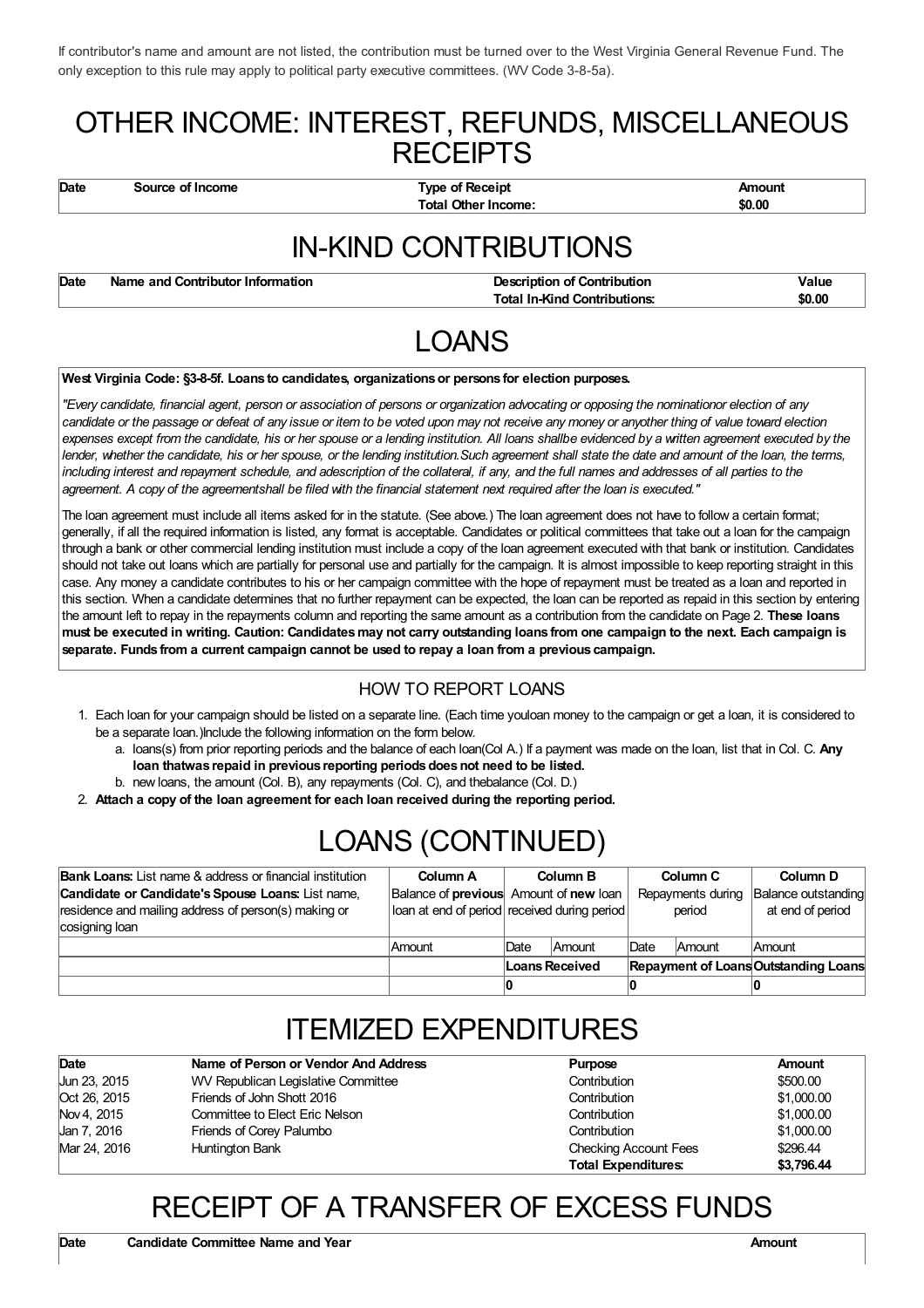If contributor's name and amount are not listed, the contribution must be turned over to the West Virginia General Revenue Fund. The only exception to this rule may apply to political party executive committees. (WV Code 3-8-5a).

### OTHER INCOME: INTEREST, REFUNDS, MISCELLANEOUS **RECEIPTS**

**Date Source of Income Type of Receipt Amount Total Other Income: \$0.00**

## IN-KIND CONTRIBUTIONS

**Date Name** and Contributor Information **Description Description** of Contribution **Description Value Total In-Kind Contributions: \$0.00**

# LOANS

#### **West Virginia Code: §3-8-5f. Loans to candidates, organizationsor persons for election purposes.**

"Every candidate, financial agent, person or association of persons or organization advocating or opposing the nominationor election of any candidate or the passage or defeat of any issue or item to be voted upon may not receive any money or anyother thing of value toward election expenses except from the candidate, his or her spouse or a lending institution. All loans shallbe evidenced by a written agreement executed by the lender, whether the candidate, his or her spouse, or the lending institution. Such agreement shall state the date and amount of the loan, the terms, including interest and repayment schedule, and adescription of the collateral, if any, and the full names and addresses of all parties to the agreement. A copy of the agreementshall be filed with the financial statement next required after the loan is executed."

The loan agreement must include all items asked for in the statute. (See above.) The loan agreement does not have to follow a certain format; generally, if all the required information is listed, any format is acceptable. Candidates or political committees that take out a loan for the campaign through a bank or other commercial lending institution must include a copy of the loan agreement executed with that bank or institution. Candidates should not take out loans which are partially for personal use and partially for the campaign. It is almost impossible to keep reporting straight in this case. Any money a candidate contributes to his or her campaign committee with the hope of repayment must be treated as a loan and reported in this section. When a candidate determines that no further repayment can be expected, the loan can be reported as repaid in this section by entering the amount left to repay in the repayments column and reporting the same amount as a contribution from the candidate on Page 2. **These loans** must be executed in writing. Caution: Candidates may not carry outstanding loans from one campaign to the next. Each campaign is **separate. Funds from a current campaign cannot be used to repay a loan from a previous campaign.**

#### HOW TO REPORT LOANS

- 1. Each loan for your campaign should be listed on a separate line. (Each time youloan money to the campaign or get a loan, it is considered to be a separate loan.)Include the following information on the form below.
	- a. loans(s) from prior reporting periods and the balance of each loan(Col A.) If a payment was made on the loan, list that in Col. C. **Any loan thatwas repaid in previous reporting periodsdoesnot need to be listed.**
	- b. new loans, the amount (Col. B), any repayments (Col. C), and thebalance (Col. D.)
- 2. **Attach a copy of the loan agreement for each loan received during the reporting period.**

# LOANS (CONTINUED)

| <b>Bank Loans:</b> List name & address or financial institution | Column A                                             |                | <b>Column B</b> |      | Column C          | Column D                             |
|-----------------------------------------------------------------|------------------------------------------------------|----------------|-----------------|------|-------------------|--------------------------------------|
| Candidate or Candidate's Spouse Loans: List name,               | Balance of <b>previous</b> Amount of <b>new</b> loan |                |                 |      | Repayments during | Balance outstanding                  |
| residence and mailing address of person(s) making or            | loan at end of period received during period         |                |                 |      | period            | at end of period                     |
| cosigning loan                                                  |                                                      |                |                 |      |                   |                                      |
|                                                                 | Amount                                               | <b>Date</b>    | Amount          | Date | Amount            | Amount                               |
|                                                                 |                                                      | Loans Received |                 |      |                   | Repayment of Loans Outstanding Loans |
|                                                                 |                                                      |                |                 |      |                   |                                      |

## ITEMIZED EXPENDITURES

| Date         | Name of Person or Vendor And Address | Purpose                      | Amount     |
|--------------|--------------------------------------|------------------------------|------------|
| Jun 23, 2015 | WV Republican Legislative Committee  | Contribution                 | \$500.00   |
| Oct 26, 2015 | Friends of John Shott 2016           | Contribution                 | \$1,000.00 |
| Nov 4. 2015  | Committee to Elect Eric Nelson       | Contribution                 | \$1,000.00 |
| Jan 7, 2016  | Friends of Corey Palumbo             | Contribution                 | \$1,000.00 |
| Mar 24, 2016 | Huntington Bank                      | <b>Checking Account Fees</b> | \$296.44   |
|              |                                      | <b>Total Expenditures:</b>   | \$3.796.44 |

### RECEIPT OF A TRANSFER OF EXCESS FUNDS